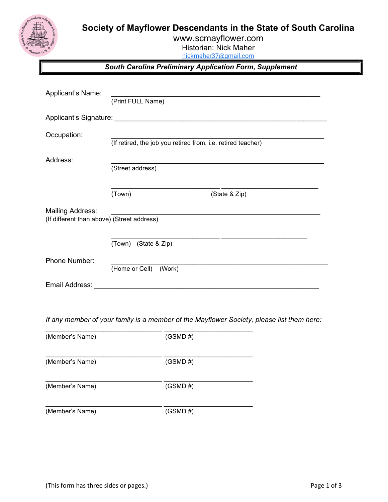Society of Mayflower Descendants in the State of South Carolina



www.scmayflower.com Historian: Nick Maher

nickmaher37@gmail.com

South Carolina Preliminary Application Form, Supplement

| Applicant's Name:                          | (Print FULL Name)                                            |               |  |
|--------------------------------------------|--------------------------------------------------------------|---------------|--|
| Applicant's Signature: 1997 1998           |                                                              |               |  |
| Occupation:                                | (If retired, the job you retired from, i.e. retired teacher) |               |  |
| Address:                                   | (Street address)                                             |               |  |
|                                            | (Town)                                                       | (State & Zip) |  |
| <b>Mailing Address:</b>                    |                                                              |               |  |
| (If different than above) (Street address) |                                                              |               |  |
|                                            | (Town) (State & Zip)                                         |               |  |
| Phone Number:                              |                                                              |               |  |
|                                            | (Home or Cell)<br>(Work)                                     |               |  |
| Email Address:                             |                                                              |               |  |

If any member of your family is a member of the Mayflower Society, please list them here:

| (Member's Name) | (GSMD H)    |
|-----------------|-------------|
| (Member's Name) | (GSMD H)    |
| (Member's Name) | $(GSMD \#)$ |
| (Member's Name) | $(GSMD \#)$ |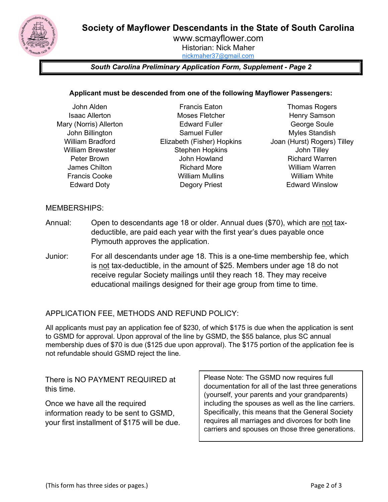Society of Mayflower Descendants in the State of South Carolina



www.scmayflower.com Historian: Nick Maher nickmaher37@gmail.com

## South Carolina Preliminary Application Form, Supplement - Page 2

### Applicant must be descended from one of the following Mayflower Passengers:

- John Alden Isaac Allerton Mary (Norris) Allerton John Billington William Bradford William Brewster Peter Brown James Chilton Francis Cooke Edward Doty
- Francis Eaton Moses Fletcher Edward Fuller Samuel Fuller Elizabeth (Fisher) Hopkins Stephen Hopkins John Howland Richard More William Mullins Degory Priest
- Thomas Rogers Henry Samson George Soule Myles Standish Joan (Hurst) Rogers) Tilley John Tilley Richard Warren William Warren William White Edward Winslow

### MEMBERSHIPS:

- Annual: Open to descendants age 18 or older. Annual dues (\$70), which are not taxdeductible, are paid each year with the first year's dues payable once Plymouth approves the application.
- Junior: For all descendants under age 18. This is a one-time membership fee, which is not tax-deductible, in the amount of \$25. Members under age 18 do not receive regular Society mailings until they reach 18. They may receive educational mailings designed for their age group from time to time.

## APPLICATION FEE, METHODS AND REFUND POLICY:

All applicants must pay an application fee of \$230, of which \$175 is due when the application is sent to GSMD for approval. Upon approval of the line by GSMD, the \$55 balance, plus SC annual membership dues of \$70 is due (\$125 due upon approval). The \$175 portion of the application fee is not refundable should GSMD reject the line.

There is NO PAYMENT REQUIRED at this time.

Once we have all the required information ready to be sent to GSMD, your first installment of \$175 will be due. Please Note: The GSMD now requires full documentation for all of the last three generations (yourself, your parents and your grandparents) including the spouses as well as the line carriers. Specifically, this means that the General Society requires all marriages and divorces for both line carriers and spouses on those three generations.